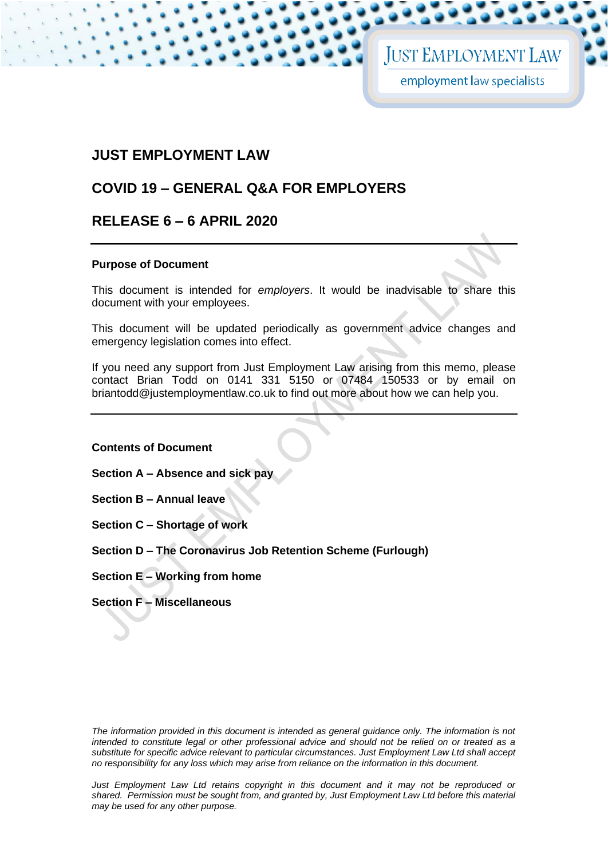# **JUST EMPLOYMENT LAW**

# **COVID 19 – GENERAL Q&A FOR EMPLOYERS**

# **RELEASE 6 – 6 APRIL 2020**

# **Purpose of Document**

This document is intended for *employers*. It would be inadvisable to share this document with your employees.

This document will be updated periodically as government advice changes and emergency legislation comes into effect.

If you need any support from Just Employment Law arising from this memo, please contact Brian Todd on 0141 331 5150 or 07484 150533 or by email on briantodd@justemploymentlaw.co.uk to find out more about how we can help you.

**Contents of Document**

**Section A – Absence and sick pay** 

**Section B – Annual leave** 

- **Section C – Shortage of work**
- **Section D – The Coronavirus Job Retention Scheme (Furlough)**
- **Section E – Working from home**
- **Section F – Miscellaneous**

*The information provided in this document is intended as general guidance only. The information is not intended to constitute legal or other professional advice and should not be relied on or treated as a substitute for specific advice relevant to particular circumstances. Just Employment Law Ltd shall accept no responsibility for any loss which may arise from reliance on the information in this document.*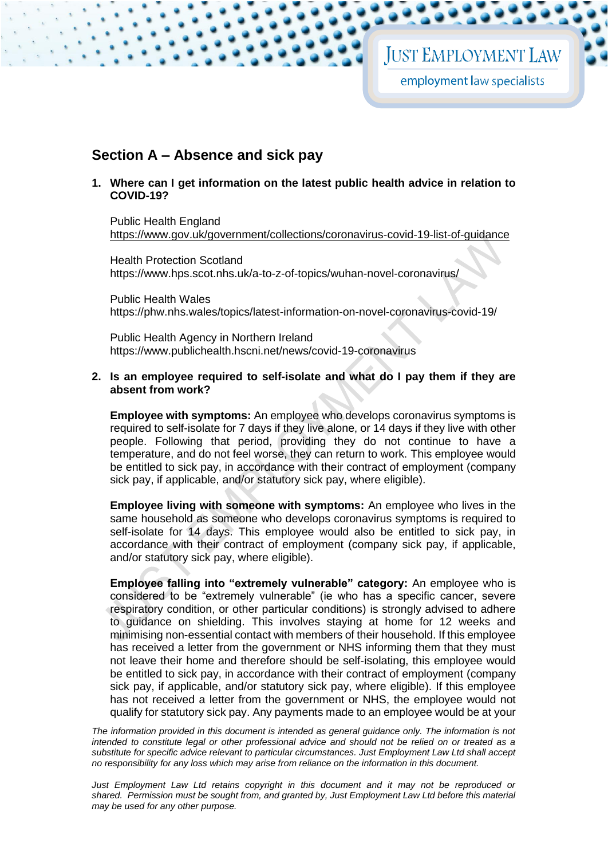# **Section A – Absence and sick pay**

**1. Where can I get information on the latest public health advice in relation to COVID-19?**

Public Health England <https://www.gov.uk/government/collections/coronavirus-covid-19-list-of-guidance>

Health Protection Scotland <https://www.hps.scot.nhs.uk/a-to-z-of-topics/wuhan-novel-coronavirus/>

Public Health Wales <https://phw.nhs.wales/topics/latest-information-on-novel-coronavirus-covid-19/>

Public Health Agency in Northern Ireland <https://www.publichealth.hscni.net/news/covid-19-coronavirus>

#### <span id="page-1-0"></span>**2. Is an employee required to self-isolate and what do I pay them if they are absent from work?**

**Employee with symptoms:** An employee who develops coronavirus symptoms is required to self-isolate for 7 days if they live alone, or 14 days if they live with other people. Following that period, providing they do not continue to have a temperature, and do not feel worse, they can return to work. This employee would be entitled to sick pay, in accordance with their contract of employment (company sick pay, if applicable, and/or statutory sick pay, where eligible).

**Employee living with someone with symptoms:** An employee who lives in the same household as someone who develops coronavirus symptoms is required to self-isolate for 14 days. This employee would also be entitled to sick pay, in accordance with their contract of employment (company sick pay, if applicable, and/or statutory sick pay, where eligible).

**Employee falling into "extremely vulnerable" category:** An employee who is considered to be "extremely vulnerable" (ie who has a specific cancer, severe respiratory condition, or other particular conditions) is strongly advised to adhere to guidance on shielding. This involves staying at home for 12 weeks and minimising non-essential contact with members of their household. If this employee has received a letter from the government or NHS informing them that they must not leave their home and therefore should be self-isolating, this employee would be entitled to sick pay, in accordance with their contract of employment (company sick pay, if applicable, and/or statutory sick pay, where eligible). If this employee has not received a letter from the government or NHS, the employee would not qualify for statutory sick pay. Any payments made to an employee would be at your

*The information provided in this document is intended as general guidance only. The information is not intended to constitute legal or other professional advice and should not be relied on or treated as a substitute for specific advice relevant to particular circumstances. Just Employment Law Ltd shall accept no responsibility for any loss which may arise from reliance on the information in this document.*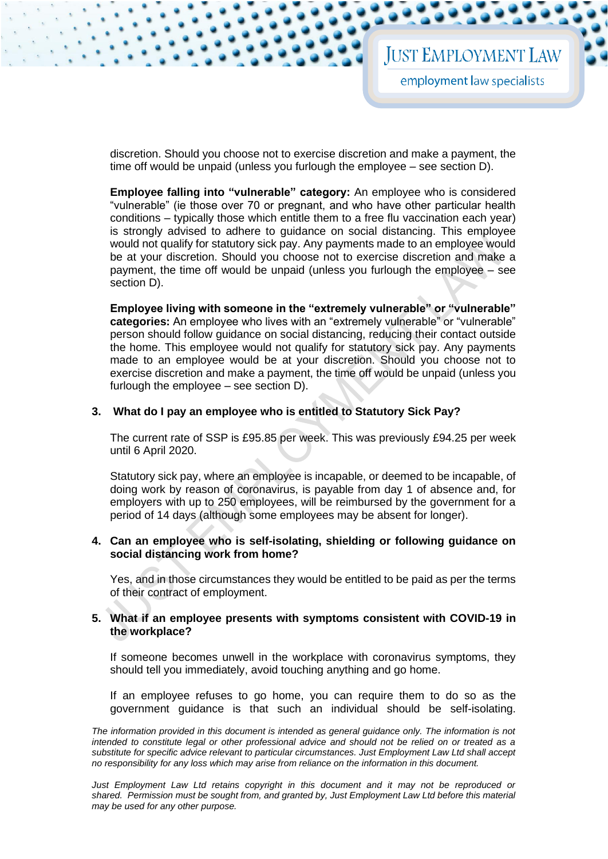discretion. Should you choose not to exercise discretion and make a payment, the time off would be unpaid (unless you furlough the employee – see section D).

**Employee falling into "vulnerable" category:** An employee who is considered "vulnerable" (ie those over 70 or pregnant, and who have other particular health conditions – typically those which entitle them to a free flu vaccination each year) is strongly advised to adhere to guidance on social distancing. This employee would not qualify for statutory sick pay. Any payments made to an employee would be at your discretion. Should you choose not to exercise discretion and make a payment, the time off would be unpaid (unless you furlough the employee – see section D).

**Employee living with someone in the "extremely vulnerable" or "vulnerable" categories:** An employee who lives with an "extremely vulnerable" or "vulnerable" person should follow guidance on social distancing, reducing their contact outside the home. This employee would not qualify for statutory sick pay. Any payments made to an employee would be at your discretion. Should you choose not to exercise discretion and make a payment, the time off would be unpaid (unless you furlough the employee – see section D).

# **3. What do I pay an employee who is entitled to Statutory Sick Pay?**

The current rate of SSP is £95.85 per week. This was previously £94.25 per week until 6 April 2020.

Statutory sick pay, where an employee is incapable, or deemed to be incapable, of doing work by reason of coronavirus, is payable from day 1 of absence and, for employers with up to 250 employees, will be reimbursed by the government for a period of 14 days (although some employees may be absent for longer).

## **4. Can an employee who is self-isolating, shielding or following guidance on social distancing work from home?**

Yes, and in those circumstances they would be entitled to be paid as per the terms of their contract of employment.

#### **5. What if an employee presents with symptoms consistent with COVID-19 in the workplace?**

If someone becomes unwell in the workplace with coronavirus symptoms, they should tell you immediately, avoid touching anything and go home.

If an employee refuses to go home, you can require them to do so as the government guidance is that such an individual should be self-isolating.

The information provided in this document is intended as general guidance only. The information is not *intended to constitute legal or other professional advice and should not be relied on or treated as a substitute for specific advice relevant to particular circumstances. Just Employment Law Ltd shall accept no responsibility for any loss which may arise from reliance on the information in this document.*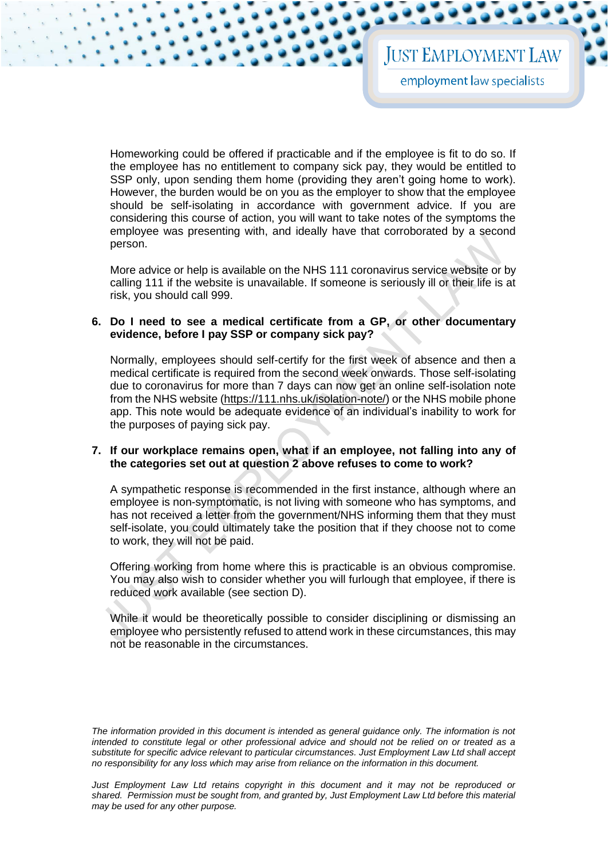Homeworking could be offered if practicable and if the employee is fit to do so. If the employee has no entitlement to company sick pay, they would be entitled to SSP only, upon sending them home (providing they aren't going home to work). However, the burden would be on you as the employer to show that the employee should be self-isolating in accordance with government advice. If you are considering this course of action, you will want to take notes of the symptoms the employee was presenting with, and ideally have that corroborated by a second person.

More advice or help is available on the NHS 111 coronavirus service website or by calling 111 if the website is unavailable. If someone is seriously ill or their life is at risk, you should call 999.

## **6. Do I need to see a medical certificate from a GP, or other documentary evidence, before I pay SSP or company sick pay?**

Normally, employees should self-certify for the first week of absence and then a medical certificate is required from the second week onwards. Those self-isolating due to coronavirus for more than 7 days can now get an online self-isolation note from the NHS website [\(https://111.nhs.uk/isolation-note/\)](https://111.nhs.uk/isolation-note/) or the NHS mobile phone app. This note would be adequate evidence of an individual's inability to work for the purposes of paying sick pay.

#### **7. If our workplace remains open, what if an employee, not falling into any of the categories set out at question [2](#page-1-0) above refuses to come to work?**

A sympathetic response is recommended in the first instance, although where an employee is non-symptomatic, is not living with someone who has symptoms, and has not received a letter from the government/NHS informing them that they must self-isolate, you could ultimately take the position that if they choose not to come to work, they will not be paid.

Offering working from home where this is practicable is an obvious compromise. You may also wish to consider whether you will furlough that employee, if there is reduced work available (see section D).

While it would be theoretically possible to consider disciplining or dismissing an employee who persistently refused to attend work in these circumstances, this may not be reasonable in the circumstances.

*The information provided in this document is intended as general guidance only. The information is not intended to constitute legal or other professional advice and should not be relied on or treated as a substitute for specific advice relevant to particular circumstances. Just Employment Law Ltd shall accept no responsibility for any loss which may arise from reliance on the information in this document.*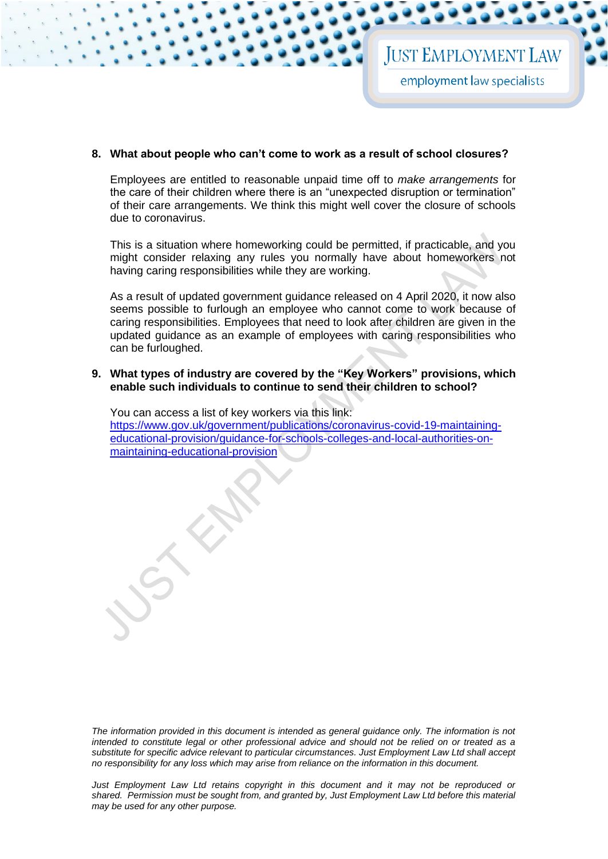#### **8. What about people who can't come to work as a result of school closures?**

Employees are entitled to reasonable unpaid time off to *make arrangements* for the care of their children where there is an "unexpected disruption or termination" of their care arrangements. We think this might well cover the closure of schools due to coronavirus.

This is a situation where homeworking could be permitted, if practicable, and you might consider relaxing any rules you normally have about homeworkers not having caring responsibilities while they are working.

As a result of updated government guidance released on 4 April 2020, it now also seems possible to furlough an employee who cannot come to work because of caring responsibilities. Employees that need to look after children are given in the updated guidance as an example of employees with caring responsibilities who can be furloughed.

**9. What types of industry are covered by the "Key Workers" provisions, which enable such individuals to continue to send their children to school?**

You can access a list of key workers via this link: [https://www.gov.uk/government/publications/coronavirus-covid-19-maintaining](https://www.gov.uk/government/publications/coronavirus-covid-19-maintaining-educational-provision/guidance-for-schools-colleges-and-local-authorities-on-maintaining-educational-provision)[educational-provision/guidance-for-schools-colleges-and-local-authorities-on](https://www.gov.uk/government/publications/coronavirus-covid-19-maintaining-educational-provision/guidance-for-schools-colleges-and-local-authorities-on-maintaining-educational-provision)[maintaining-educational-provision](https://www.gov.uk/government/publications/coronavirus-covid-19-maintaining-educational-provision/guidance-for-schools-colleges-and-local-authorities-on-maintaining-educational-provision)

*The information provided in this document is intended as general guidance only. The information is not intended to constitute legal or other professional advice and should not be relied on or treated as a substitute for specific advice relevant to particular circumstances. Just Employment Law Ltd shall accept no responsibility for any loss which may arise from reliance on the information in this document.*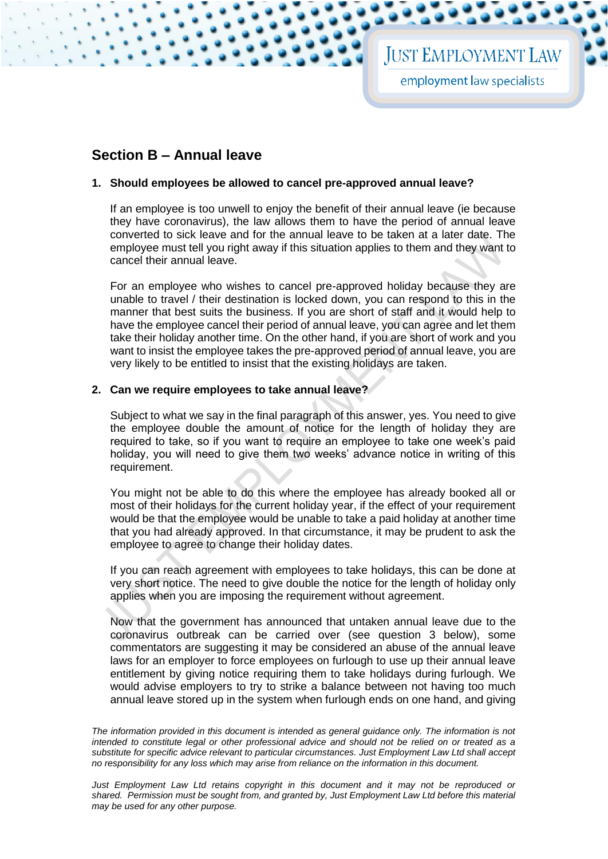# **Section B – Annual leave**

# **1. Should employees be allowed to cancel pre-approved annual leave?**

If an employee is too unwell to enjoy the benefit of their annual leave (ie because they have coronavirus), the law allows them to have the period of annual leave converted to sick leave and for the annual leave to be taken at a later date. The employee must tell you right away if this situation applies to them and they want to cancel their annual leave.

For an employee who wishes to cancel pre-approved holiday because they are unable to travel / their destination is locked down, you can respond to this in the manner that best suits the business. If you are short of staff and it would help to have the employee cancel their period of annual leave, you can agree and let them take their holiday another time. On the other hand, if you are short of work and you want to insist the employee takes the pre-approved period of annual leave, you are very likely to be entitled to insist that the existing holidays are taken.

# **2. Can we require employees to take annual leave?**

Subject to what we say in the final paragraph of this answer, yes. You need to give the employee double the amount of notice for the length of holiday they are required to take, so if you want to require an employee to take one week's paid holiday, you will need to give them two weeks' advance notice in writing of this requirement.

You might not be able to do this where the employee has already booked all or most of their holidays for the current holiday year, if the effect of your requirement would be that the employee would be unable to take a paid holiday at another time that you had already approved. In that circumstance, it may be prudent to ask the employee to agree to change their holiday dates.

If you can reach agreement with employees to take holidays, this can be done at very short notice. The need to give double the notice for the length of holiday only applies when you are imposing the requirement without agreement.

Now that the government has announced that untaken annual leave due to the coronavirus outbreak can be carried over (see question 3 below), some commentators are suggesting it may be considered an abuse of the annual leave laws for an employer to force employees on furlough to use up their annual leave entitlement by giving notice requiring them to take holidays during furlough. We would advise employers to try to strike a balance between not having too much annual leave stored up in the system when furlough ends on one hand, and giving

The information provided in this document is intended as general guidance only. The information is not *intended to constitute legal or other professional advice and should not be relied on or treated as a substitute for specific advice relevant to particular circumstances. Just Employment Law Ltd shall accept no responsibility for any loss which may arise from reliance on the information in this document.*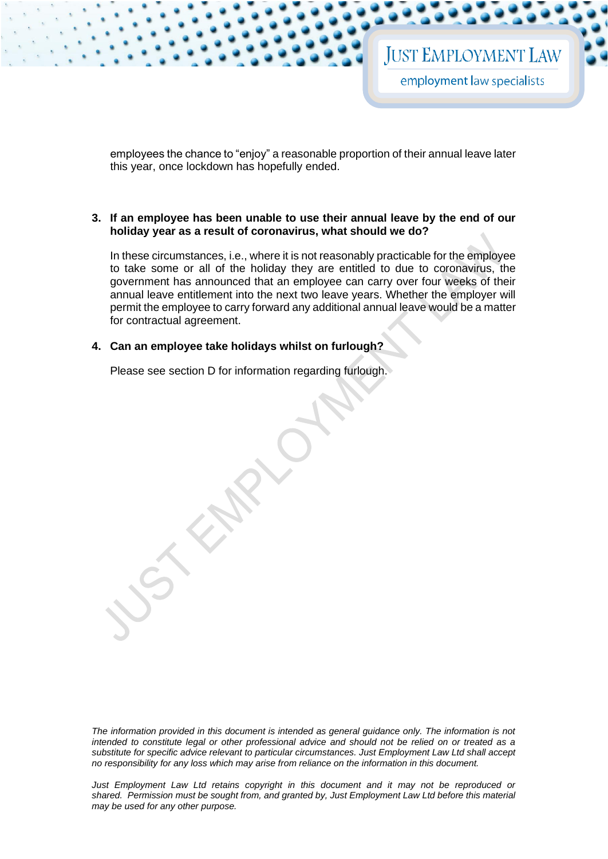employees the chance to "enjoy" a reasonable proportion of their annual leave later this year, once lockdown has hopefully ended.

## **3. If an employee has been unable to use their annual leave by the end of our holiday year as a result of coronavirus, what should we do?**

In these circumstances, i.e., where it is not reasonably practicable for the employee to take some or all of the holiday they are entitled to due to coronavirus, the government has announced that an employee can carry over four weeks of their annual leave entitlement into the next two leave years. Whether the employer will permit the employee to carry forward any additional annual leave would be a matter for contractual agreement.

#### **4. Can an employee take holidays whilst on furlough?**

Please see section D for information regarding furlough.

*The information provided in this document is intended as general guidance only. The information is not intended to constitute legal or other professional advice and should not be relied on or treated as a substitute for specific advice relevant to particular circumstances. Just Employment Law Ltd shall accept no responsibility for any loss which may arise from reliance on the information in this document.*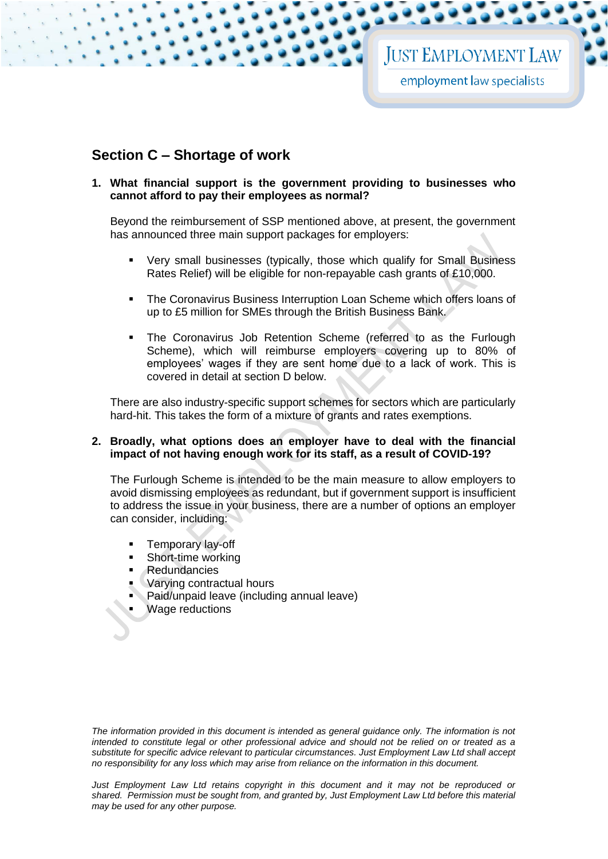# **Section C – Shortage of work**

# **1. What financial support is the government providing to businesses who cannot afford to pay their employees as normal?**

Beyond the reimbursement of SSP mentioned above, at present, the government has announced three main support packages for employers:

- Very small businesses (typically, those which qualify for Small Business Rates Relief) will be eligible for non-repayable cash grants of £10,000.
- The Coronavirus Business Interruption Loan Scheme which offers loans of up to £5 million for SMEs through the British Business Bank.
- The Coronavirus Job Retention Scheme (referred to as the Furlough Scheme), which will reimburse employers covering up to 80% of employees' wages if they are sent home due to a lack of work. This is covered in detail at section D below.

There are also industry-specific support schemes for sectors which are particularly hard-hit. This takes the form of a mixture of grants and rates exemptions.

## **2. Broadly, what options does an employer have to deal with the financial impact of not having enough work for its staff, as a result of COVID-19?**

The Furlough Scheme is intended to be the main measure to allow employers to avoid dismissing employees as redundant, but if government support is insufficient to address the issue in your business, there are a number of options an employer can consider, including:

- Temporary lay-off
- Short-time working
- **Redundancies**
- Varying contractual hours
- **Paid/unpaid leave (including annual leave)**
- **Wage reductions**

*The information provided in this document is intended as general guidance only. The information is not intended to constitute legal or other professional advice and should not be relied on or treated as a substitute for specific advice relevant to particular circumstances. Just Employment Law Ltd shall accept no responsibility for any loss which may arise from reliance on the information in this document.*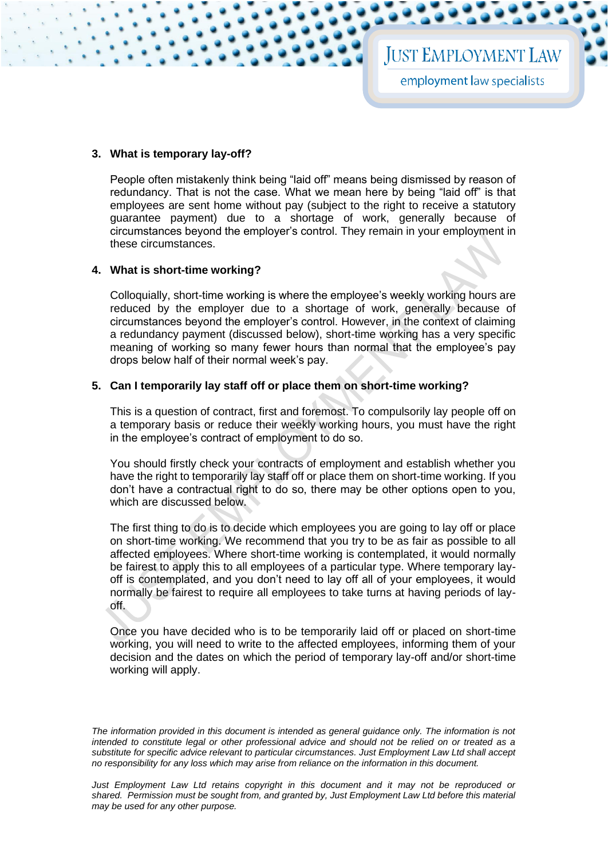# **3. What is temporary lay-off?**

People often mistakenly think being "laid off" means being dismissed by reason of redundancy. That is not the case. What we mean here by being "laid off" is that employees are sent home without pay (subject to the right to receive a statutory guarantee payment) due to a shortage of work, generally because of circumstances beyond the employer's control. They remain in your employment in these circumstances.

# **4. What is short-time working?**

Colloquially, short-time working is where the employee's weekly working hours are reduced by the employer due to a shortage of work, generally because of circumstances beyond the employer's control. However, in the context of claiming a redundancy payment (discussed below), short-time working has a very specific meaning of working so many fewer hours than normal that the employee's pay drops below half of their normal week's pay.

# **5. Can I temporarily lay staff off or place them on short-time working?**

This is a question of contract, first and foremost. To compulsorily lay people off on a temporary basis or reduce their weekly working hours, you must have the right in the employee's contract of employment to do so.

You should firstly check your contracts of employment and establish whether you have the right to temporarily lay staff off or place them on short-time working. If you don't have a contractual right to do so, there may be other options open to you, which are discussed below.

The first thing to do is to decide which employees you are going to lay off or place on short-time working. We recommend that you try to be as fair as possible to all affected employees. Where short-time working is contemplated, it would normally be fairest to apply this to all employees of a particular type. Where temporary layoff is contemplated, and you don't need to lay off all of your employees, it would normally be fairest to require all employees to take turns at having periods of layoff.

Once you have decided who is to be temporarily laid off or placed on short-time working, you will need to write to the affected employees, informing them of your decision and the dates on which the period of temporary lay-off and/or short-time working will apply.

The information provided in this document is intended as general guidance only. The information is not *intended to constitute legal or other professional advice and should not be relied on or treated as a substitute for specific advice relevant to particular circumstances. Just Employment Law Ltd shall accept no responsibility for any loss which may arise from reliance on the information in this document.*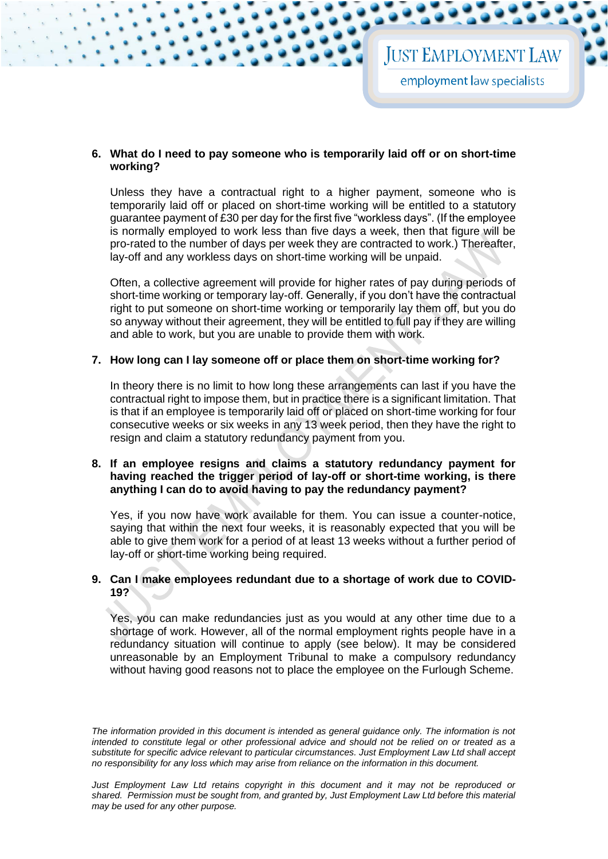# **6. What do I need to pay someone who is temporarily laid off or on short-time working?**

Unless they have a contractual right to a higher payment, someone who is temporarily laid off or placed on short-time working will be entitled to a statutory guarantee payment of £30 per day for the first five "workless days". (If the employee is normally employed to work less than five days a week, then that figure will be pro-rated to the number of days per week they are contracted to work.) Thereafter, lay-off and any workless days on short-time working will be unpaid.

Often, a collective agreement will provide for higher rates of pay during periods of short-time working or temporary lay-off. Generally, if you don't have the contractual right to put someone on short-time working or temporarily lay them off, but you do so anyway without their agreement, they will be entitled to full pay if they are willing and able to work, but you are unable to provide them with work.

# **7. How long can I lay someone off or place them on short-time working for?**

In theory there is no limit to how long these arrangements can last if you have the contractual right to impose them, but in practice there is a significant limitation. That is that if an employee is temporarily laid off or placed on short-time working for four consecutive weeks or six weeks in any 13 week period, then they have the right to resign and claim a statutory redundancy payment from you.

# **8. If an employee resigns and claims a statutory redundancy payment for having reached the trigger period of lay-off or short-time working, is there anything I can do to avoid having to pay the redundancy payment?**

Yes, if you now have work available for them. You can issue a counter-notice, saying that within the next four weeks, it is reasonably expected that you will be able to give them work for a period of at least 13 weeks without a further period of lay-off or short-time working being required.

# **9. Can I make employees redundant due to a shortage of work due to COVID-19?**

Yes, you can make redundancies just as you would at any other time due to a shortage of work. However, all of the normal employment rights people have in a redundancy situation will continue to apply (see below). It may be considered unreasonable by an Employment Tribunal to make a compulsory redundancy without having good reasons not to place the employee on the Furlough Scheme.

*The information provided in this document is intended as general guidance only. The information is not intended to constitute legal or other professional advice and should not be relied on or treated as a substitute for specific advice relevant to particular circumstances. Just Employment Law Ltd shall accept no responsibility for any loss which may arise from reliance on the information in this document.* 

*Just Employment Law Ltd retains copyright in this document and it may not be reproduced or shared. Permission must be sought from, and granted by, Just Employment Law Ltd before this material may be used for any other purpose.*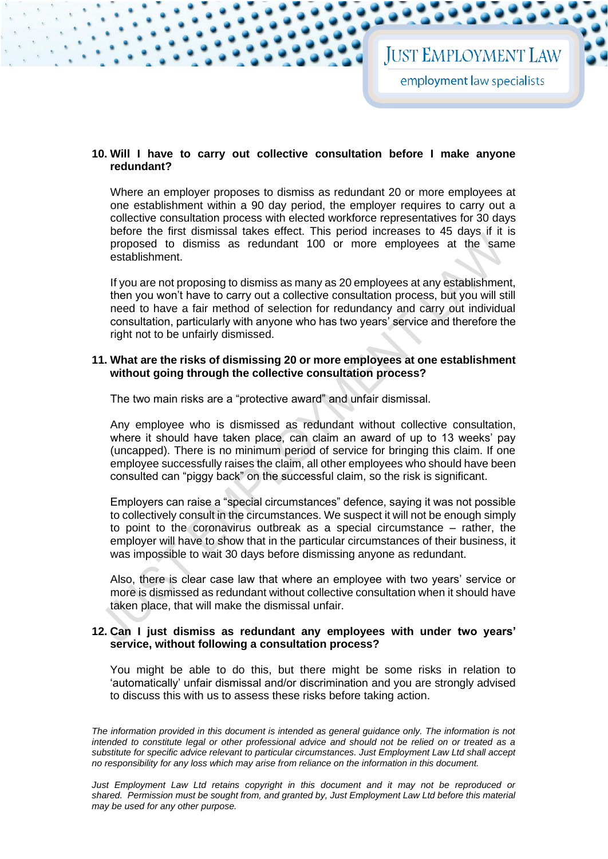# **10. Will I have to carry out collective consultation before I make anyone redundant?**

Where an employer proposes to dismiss as redundant 20 or more employees at one establishment within a 90 day period, the employer requires to carry out a collective consultation process with elected workforce representatives for 30 days before the first dismissal takes effect. This period increases to 45 days if it is proposed to dismiss as redundant 100 or more employees at the same establishment.

If you are not proposing to dismiss as many as 20 employees at any establishment, then you won't have to carry out a collective consultation process, but you will still need to have a fair method of selection for redundancy and carry out individual consultation, particularly with anyone who has two years' service and therefore the right not to be unfairly dismissed.

## **11. What are the risks of dismissing 20 or more employees at one establishment without going through the collective consultation process?**

The two main risks are a "protective award" and unfair dismissal.

Any employee who is dismissed as redundant without collective consultation, where it should have taken place, can claim an award of up to 13 weeks' pay (uncapped). There is no minimum period of service for bringing this claim. If one employee successfully raises the claim, all other employees who should have been consulted can "piggy back" on the successful claim, so the risk is significant.

Employers can raise a "special circumstances" defence, saying it was not possible to collectively consult in the circumstances. We suspect it will not be enough simply to point to the coronavirus outbreak as a special circumstance – rather, the employer will have to show that in the particular circumstances of their business, it was impossible to wait 30 days before dismissing anyone as redundant.

Also, there is clear case law that where an employee with two years' service or more is dismissed as redundant without collective consultation when it should have taken place, that will make the dismissal unfair.

# **12. Can I just dismiss as redundant any employees with under two years' service, without following a consultation process?**

You might be able to do this, but there might be some risks in relation to 'automatically' unfair dismissal and/or discrimination and you are strongly advised to discuss this with us to assess these risks before taking action.

*The information provided in this document is intended as general guidance only. The information is not intended to constitute legal or other professional advice and should not be relied on or treated as a substitute for specific advice relevant to particular circumstances. Just Employment Law Ltd shall accept no responsibility for any loss which may arise from reliance on the information in this document.*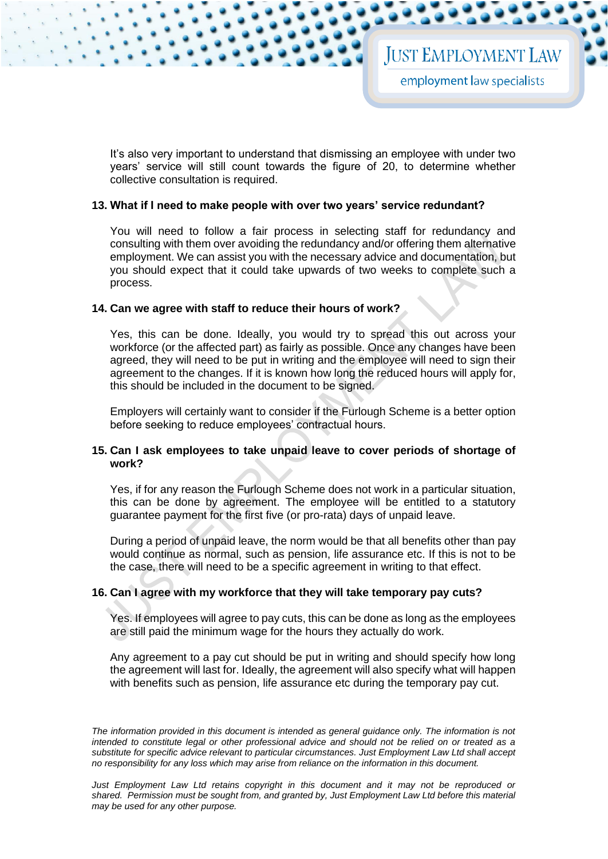It's also very important to understand that dismissing an employee with under two years' service will still count towards the figure of 20, to determine whether collective consultation is required.

## **13. What if I need to make people with over two years' service redundant?**

You will need to follow a fair process in selecting staff for redundancy and consulting with them over avoiding the redundancy and/or offering them alternative employment. We can assist you with the necessary advice and documentation, but you should expect that it could take upwards of two weeks to complete such a process.

# **14. Can we agree with staff to reduce their hours of work?**

Yes, this can be done. Ideally, you would try to spread this out across your workforce (or the affected part) as fairly as possible. Once any changes have been agreed, they will need to be put in writing and the employee will need to sign their agreement to the changes. If it is known how long the reduced hours will apply for, this should be included in the document to be signed.

Employers will certainly want to consider if the Furlough Scheme is a better option before seeking to reduce employees' contractual hours.

# **15. Can I ask employees to take unpaid leave to cover periods of shortage of work?**

Yes, if for any reason the Furlough Scheme does not work in a particular situation, this can be done by agreement. The employee will be entitled to a statutory guarantee payment for the first five (or pro-rata) days of unpaid leave.

During a period of unpaid leave, the norm would be that all benefits other than pay would continue as normal, such as pension, life assurance etc. If this is not to be the case, there will need to be a specific agreement in writing to that effect.

# **16. Can I agree with my workforce that they will take temporary pay cuts?**

Yes. If employees will agree to pay cuts, this can be done as long as the employees are still paid the minimum wage for the hours they actually do work.

Any agreement to a pay cut should be put in writing and should specify how long the agreement will last for. Ideally, the agreement will also specify what will happen with benefits such as pension, life assurance etc during the temporary pay cut.

The information provided in this document is intended as general guidance only. The information is not *intended to constitute legal or other professional advice and should not be relied on or treated as a substitute for specific advice relevant to particular circumstances. Just Employment Law Ltd shall accept no responsibility for any loss which may arise from reliance on the information in this document.* 

*Just Employment Law Ltd retains copyright in this document and it may not be reproduced or shared. Permission must be sought from, and granted by, Just Employment Law Ltd before this material may be used for any other purpose.*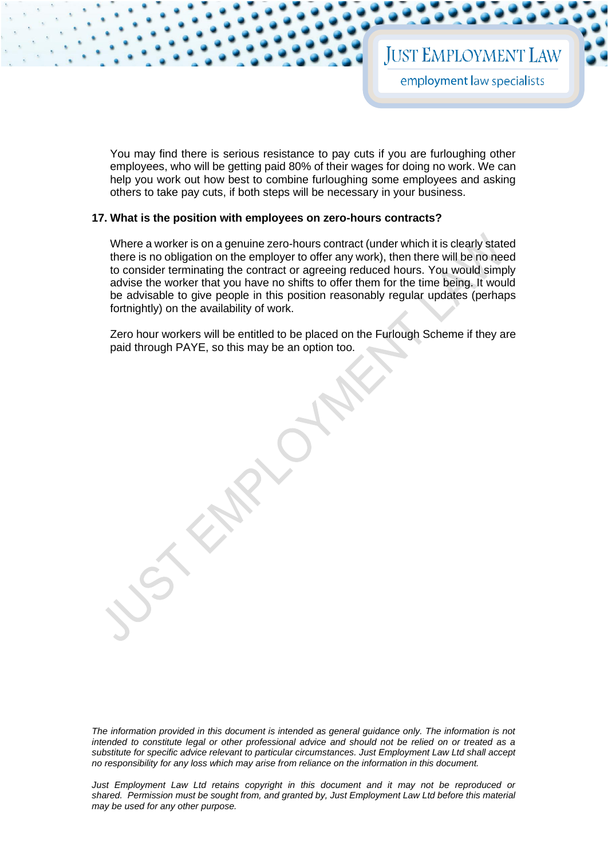You may find there is serious resistance to pay cuts if you are furloughing other employees, who will be getting paid 80% of their wages for doing no work. We can help you work out how best to combine furloughing some employees and asking others to take pay cuts, if both steps will be necessary in your business.

#### **17. What is the position with employees on zero-hours contracts?**

Where a worker is on a genuine zero-hours contract (under which it is clearly stated there is no obligation on the employer to offer any work), then there will be no need to consider terminating the contract or agreeing reduced hours. You would simply advise the worker that you have no shifts to offer them for the time being. It would be advisable to give people in this position reasonably regular updates (perhaps fortnightly) on the availability of work.

Zero hour workers will be entitled to be placed on the Furlough Scheme if they are paid through PAYE, so this may be an option too.

*The information provided in this document is intended as general guidance only. The information is not intended to constitute legal or other professional advice and should not be relied on or treated as a substitute for specific advice relevant to particular circumstances. Just Employment Law Ltd shall accept no responsibility for any loss which may arise from reliance on the information in this document.*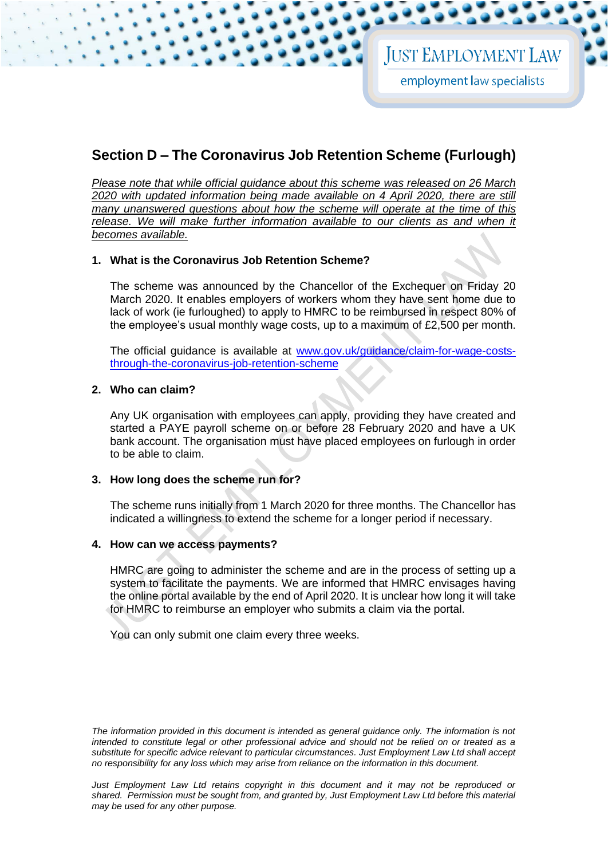# **Section D – The Coronavirus Job Retention Scheme (Furlough)**

*Please note that while official guidance about this scheme was released on 26 March 2020 with updated information being made available on 4 April 2020, there are still many unanswered questions about how the scheme will operate at the time of this release. We will make further information available to our clients as and when it becomes available.* 

# **1. What is the Coronavirus Job Retention Scheme?**

The scheme was announced by the Chancellor of the Exchequer on Friday 20 March 2020. It enables employers of workers whom they have sent home due to lack of work (ie furloughed) to apply to HMRC to be reimbursed in respect 80% of the employee's usual monthly wage costs, up to a maximum of £2,500 per month.

The official guidance is available at [www.gov.uk/guidance/claim-for-wage-costs](http://www.gov.uk/guidance/claim-for-wage-costs-through-the-coronavirus-job-retention-scheme)[through-the-coronavirus-job-retention-scheme](http://www.gov.uk/guidance/claim-for-wage-costs-through-the-coronavirus-job-retention-scheme)

# **2. Who can claim?**

Any UK organisation with employees can apply, providing they have created and started a PAYE payroll scheme on or before 28 February 2020 and have a UK bank account. The organisation must have placed employees on furlough in order to be able to claim.

# **3. How long does the scheme run for?**

The scheme runs initially from 1 March 2020 for three months. The Chancellor has indicated a willingness to extend the scheme for a longer period if necessary.

# **4. How can we access payments?**

HMRC are going to administer the scheme and are in the process of setting up a system to facilitate the payments. We are informed that HMRC envisages having the online portal available by the end of April 2020. It is unclear how long it will take for HMRC to reimburse an employer who submits a claim via the portal.

You can only submit one claim every three weeks.

*The information provided in this document is intended as general guidance only. The information is not intended to constitute legal or other professional advice and should not be relied on or treated as a substitute for specific advice relevant to particular circumstances. Just Employment Law Ltd shall accept no responsibility for any loss which may arise from reliance on the information in this document.*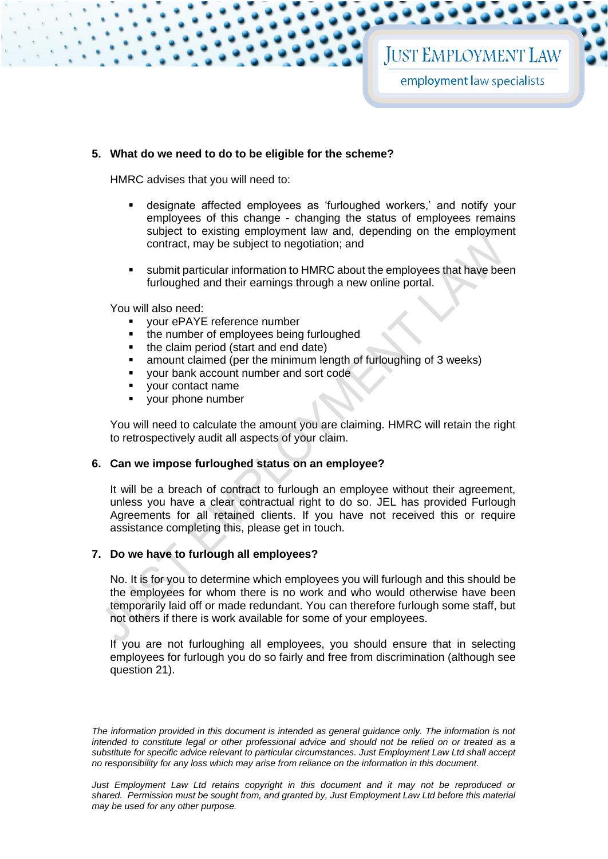# **5. What do we need to do to be eligible for the scheme?**

HMRC advises that you will need to:

- designate affected employees as 'furloughed workers,' and notify your employees of this change - changing the status of employees remains subject to existing employment law and, depending on the employment contract, may be subject to negotiation; and
- submit particular information to HMRC about the employees that have been furloughed and their earnings through a new online portal.

You will also need:

- vour ePAYE reference number
- the number of employees being furloughed
- the claim period (start and end date)
- amount claimed (per the minimum length of furloughing of 3 weeks)
- your bank account number and sort code
- vour contact name
- your phone number

You will need to calculate the amount you are claiming. HMRC will retain the right to retrospectively audit all aspects of your claim.

#### **6. Can we impose furloughed status on an employee?**

It will be a breach of contract to furlough an employee without their agreement, unless you have a clear contractual right to do so. JEL has provided Furlough Agreements for all retained clients. If you have not received this or require assistance completing this, please get in touch.

# **7. Do we have to furlough all employees?**

No. It is for you to determine which employees you will furlough and this should be the employees for whom there is no work and who would otherwise have been temporarily laid off or made redundant. You can therefore furlough some staff, but not others if there is work available for some of your employees.

If you are not furloughing all employees, you should ensure that in selecting employees for furlough you do so fairly and free from discrimination (although see question 21).

The information provided in this document is intended as general guidance only. The information is not *intended to constitute legal or other professional advice and should not be relied on or treated as a substitute for specific advice relevant to particular circumstances. Just Employment Law Ltd shall accept no responsibility for any loss which may arise from reliance on the information in this document.*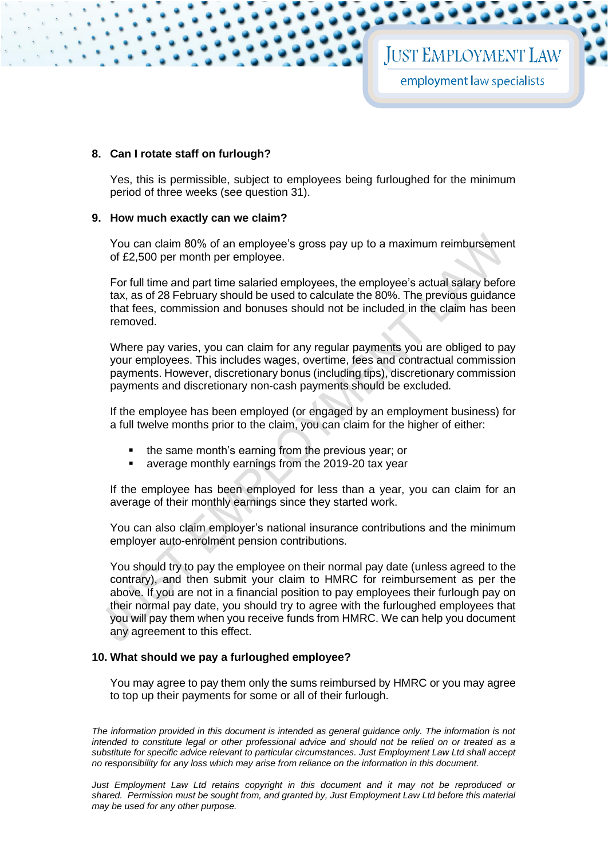# **8. Can I rotate staff on furlough?**

Yes, this is permissible, subject to employees being furloughed for the minimum period of three weeks (see question 31).

#### **9. How much exactly can we claim?**

You can claim 80% of an employee's gross pay up to a maximum reimbursement of £2,500 per month per employee.

For full time and part time salaried employees, the employee's actual salary before tax, as of 28 February should be used to calculate the 80%. The previous guidance that fees, commission and bonuses should not be included in the claim has been removed.

Where pay varies, you can claim for any regular payments you are obliged to pay your employees. This includes wages, overtime, fees and contractual commission payments. However, discretionary bonus (including tips), discretionary commission payments and discretionary non-cash payments should be excluded.

If the employee has been employed (or engaged by an employment business) for a full twelve months prior to the claim, you can claim for the higher of either:

- the same month's earning from the previous year; or
- average monthly earnings from the 2019-20 tax year

If the employee has been employed for less than a year, you can claim for an average of their monthly earnings since they started work.

You can also claim employer's national insurance contributions and the minimum employer auto-enrolment pension contributions.

You should try to pay the employee on their normal pay date (unless agreed to the contrary), and then submit your claim to HMRC for reimbursement as per the above. If you are not in a financial position to pay employees their furlough pay on their normal pay date, you should try to agree with the furloughed employees that you will pay them when you receive funds from HMRC. We can help you document any agreement to this effect.

#### **10. What should we pay a furloughed employee?**

You may agree to pay them only the sums reimbursed by HMRC or you may agree to top up their payments for some or all of their furlough.

The information provided in this document is intended as general guidance only. The information is not *intended to constitute legal or other professional advice and should not be relied on or treated as a substitute for specific advice relevant to particular circumstances. Just Employment Law Ltd shall accept no responsibility for any loss which may arise from reliance on the information in this document.*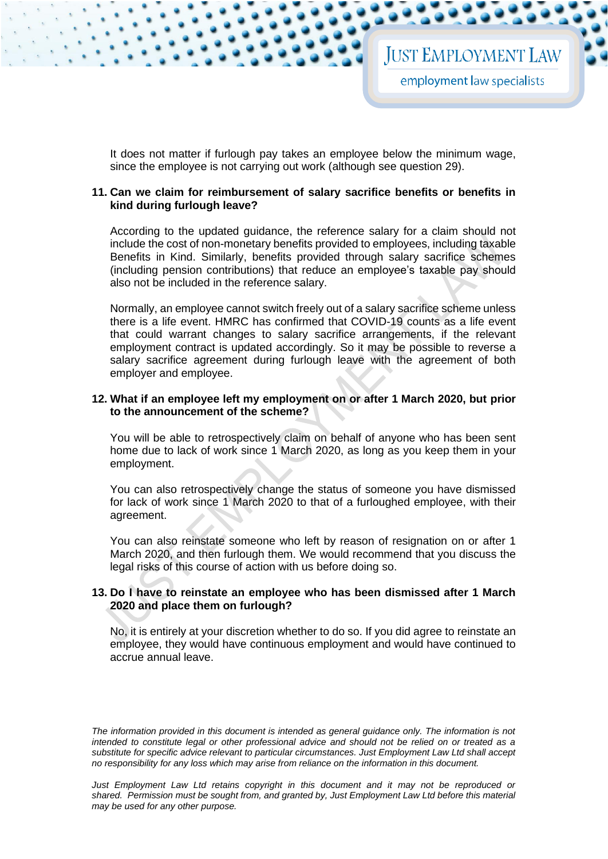It does not matter if furlough pay takes an employee below the minimum wage, since the employee is not carrying out work (although see question 29).

#### **11. Can we claim for reimbursement of salary sacrifice benefits or benefits in kind during furlough leave?**

According to the updated guidance, the reference salary for a claim should not include the cost of non-monetary benefits provided to employees, including taxable Benefits in Kind. Similarly, benefits provided through salary sacrifice schemes (including pension contributions) that reduce an employee's taxable pay should also not be included in the reference salary.

Normally, an employee cannot switch freely out of a salary sacrifice scheme unless there is a life event. HMRC has confirmed that COVID-19 counts as a life event that could warrant changes to salary sacrifice arrangements, if the relevant employment contract is updated accordingly. So it may be possible to reverse a salary sacrifice agreement during furlough leave with the agreement of both employer and employee.

## **12. What if an employee left my employment on or after 1 March 2020, but prior to the announcement of the scheme?**

You will be able to retrospectively claim on behalf of anyone who has been sent home due to lack of work since 1 March 2020, as long as you keep them in your employment.

You can also retrospectively change the status of someone you have dismissed for lack of work since 1 March 2020 to that of a furloughed employee, with their agreement.

You can also reinstate someone who left by reason of resignation on or after 1 March 2020, and then furlough them. We would recommend that you discuss the legal risks of this course of action with us before doing so.

# **13. Do I have to reinstate an employee who has been dismissed after 1 March 2020 and place them on furlough?**

No, it is entirely at your discretion whether to do so. If you did agree to reinstate an employee, they would have continuous employment and would have continued to accrue annual leave.

*The information provided in this document is intended as general guidance only. The information is not intended to constitute legal or other professional advice and should not be relied on or treated as a substitute for specific advice relevant to particular circumstances. Just Employment Law Ltd shall accept no responsibility for any loss which may arise from reliance on the information in this document.* 

*Just Employment Law Ltd retains copyright in this document and it may not be reproduced or shared. Permission must be sought from, and granted by, Just Employment Law Ltd before this material may be used for any other purpose.*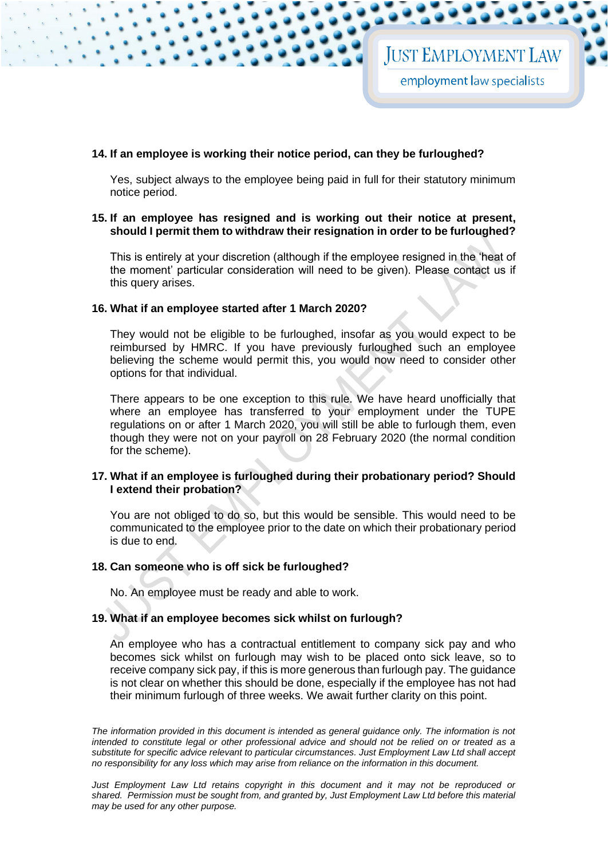# **14. If an employee is working their notice period, can they be furloughed?**

Yes, subject always to the employee being paid in full for their statutory minimum notice period.

## **15. If an employee has resigned and is working out their notice at present, should I permit them to withdraw their resignation in order to be furloughed?**

This is entirely at your discretion (although if the employee resigned in the 'heat of the moment' particular consideration will need to be given). Please contact us if this query arises.

#### **16. What if an employee started after 1 March 2020?**

They would not be eligible to be furloughed, insofar as you would expect to be reimbursed by HMRC. If you have previously furloughed such an employee believing the scheme would permit this, you would now need to consider other options for that individual.

There appears to be one exception to this rule. We have heard unofficially that where an employee has transferred to your employment under the TUPE regulations on or after 1 March 2020, you will still be able to furlough them, even though they were not on your payroll on 28 February 2020 (the normal condition for the scheme).

# **17. What if an employee is furloughed during their probationary period? Should I extend their probation?**

You are not obliged to do so, but this would be sensible. This would need to be communicated to the employee prior to the date on which their probationary period is due to end.

#### **18. Can someone who is off sick be furloughed?**

No. An employee must be ready and able to work.

# **19. What if an employee becomes sick whilst on furlough?**

An employee who has a contractual entitlement to company sick pay and who becomes sick whilst on furlough may wish to be placed onto sick leave, so to receive company sick pay, if this is more generous than furlough pay. The guidance is not clear on whether this should be done, especially if the employee has not had their minimum furlough of three weeks. We await further clarity on this point.

The information provided in this document is intended as general guidance only. The information is not *intended to constitute legal or other professional advice and should not be relied on or treated as a substitute for specific advice relevant to particular circumstances. Just Employment Law Ltd shall accept no responsibility for any loss which may arise from reliance on the information in this document.*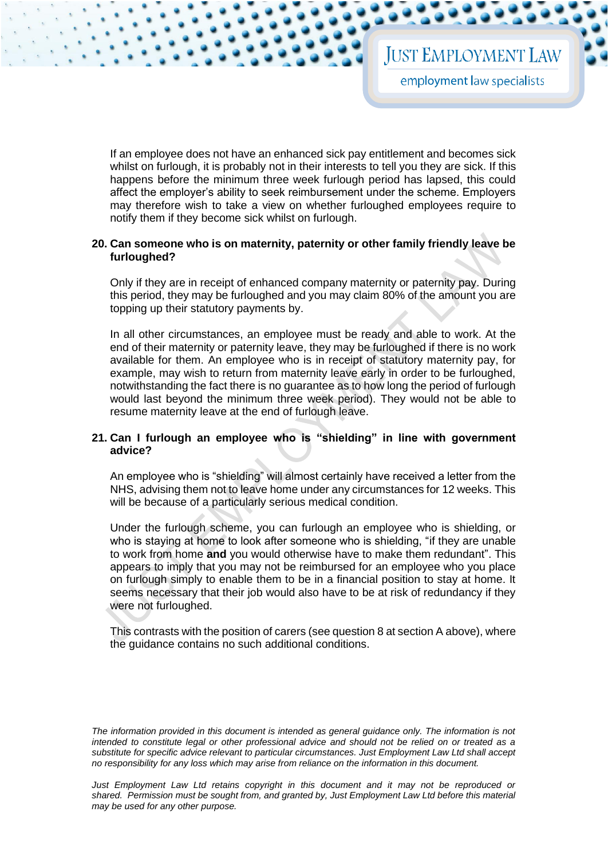If an employee does not have an enhanced sick pay entitlement and becomes sick whilst on furlough, it is probably not in their interests to tell you they are sick. If this happens before the minimum three week furlough period has lapsed, this could affect the employer's ability to seek reimbursement under the scheme. Employers may therefore wish to take a view on whether furloughed employees require to notify them if they become sick whilst on furlough.

## **20. Can someone who is on maternity, paternity or other family friendly leave be furloughed?**

Only if they are in receipt of enhanced company maternity or paternity pay. During this period, they may be furloughed and you may claim 80% of the amount you are topping up their statutory payments by.

In all other circumstances, an employee must be ready and able to work. At the end of their maternity or paternity leave, they may be furloughed if there is no work available for them. An employee who is in receipt of statutory maternity pay, for example, may wish to return from maternity leave early in order to be furloughed, notwithstanding the fact there is no guarantee as to how long the period of furlough would last beyond the minimum three week period). They would not be able to resume maternity leave at the end of furlough leave.

# **21. Can I furlough an employee who is "shielding" in line with government advice?**

An employee who is "shielding" will almost certainly have received a letter from the NHS, advising them not to leave home under any circumstances for 12 weeks. This will be because of a particularly serious medical condition.

Under the furlough scheme, you can furlough an employee who is shielding, or who is staying at home to look after someone who is shielding, "if they are unable to work from home **and** you would otherwise have to make them redundant". This appears to imply that you may not be reimbursed for an employee who you place on furlough simply to enable them to be in a financial position to stay at home. It seems necessary that their job would also have to be at risk of redundancy if they were not furloughed.

This contrasts with the position of carers (see question 8 at section A above), where the guidance contains no such additional conditions.

The information provided in this document is intended as general guidance only. The information is not *intended to constitute legal or other professional advice and should not be relied on or treated as a substitute for specific advice relevant to particular circumstances. Just Employment Law Ltd shall accept no responsibility for any loss which may arise from reliance on the information in this document.*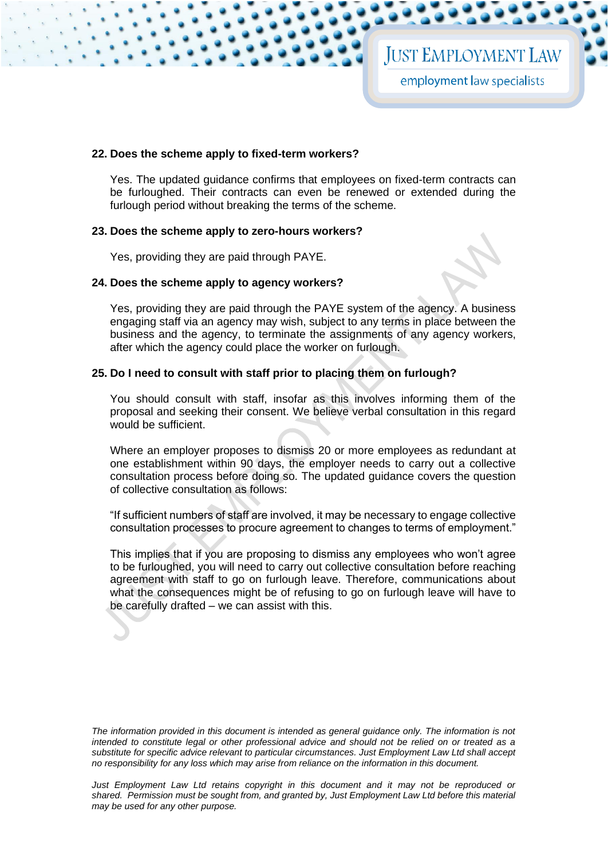#### **22. Does the scheme apply to fixed-term workers?**

Yes. The updated guidance confirms that employees on fixed-term contracts can be furloughed. Their contracts can even be renewed or extended during the furlough period without breaking the terms of the scheme.

#### **23. Does the scheme apply to zero-hours workers?**

Yes, providing they are paid through PAYE.

#### **24. Does the scheme apply to agency workers?**

Yes, providing they are paid through the PAYE system of the agency. A business engaging staff via an agency may wish, subject to any terms in place between the business and the agency, to terminate the assignments of any agency workers, after which the agency could place the worker on furlough.

#### **25. Do I need to consult with staff prior to placing them on furlough?**

You should consult with staff, insofar as this involves informing them of the proposal and seeking their consent. We believe verbal consultation in this regard would be sufficient.

Where an employer proposes to dismiss 20 or more employees as redundant at one establishment within 90 days, the employer needs to carry out a collective consultation process before doing so. The updated guidance covers the question of collective consultation as follows:

"If sufficient numbers of staff are involved, it may be necessary to engage collective consultation processes to procure agreement to changes to terms of employment."

This implies that if you are proposing to dismiss any employees who won't agree to be furloughed, you will need to carry out collective consultation before reaching agreement with staff to go on furlough leave. Therefore, communications about what the consequences might be of refusing to go on furlough leave will have to be carefully drafted – we can assist with this.

*The information provided in this document is intended as general guidance only. The information is not intended to constitute legal or other professional advice and should not be relied on or treated as a substitute for specific advice relevant to particular circumstances. Just Employment Law Ltd shall accept no responsibility for any loss which may arise from reliance on the information in this document.*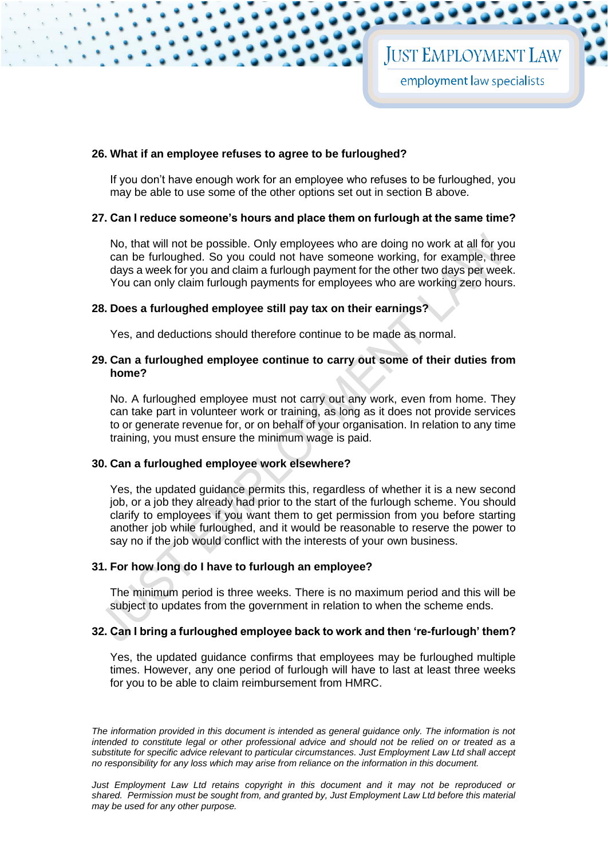#### **26. What if an employee refuses to agree to be furloughed?**

If you don't have enough work for an employee who refuses to be furloughed, you may be able to use some of the other options set out in section B above.

#### **27. Can I reduce someone's hours and place them on furlough at the same time?**

No, that will not be possible. Only employees who are doing no work at all for you can be furloughed. So you could not have someone working, for example, three days a week for you and claim a furlough payment for the other two days per week. You can only claim furlough payments for employees who are working zero hours.

# **28. Does a furloughed employee still pay tax on their earnings?**

Yes, and deductions should therefore continue to be made as normal.

#### **29. Can a furloughed employee continue to carry out some of their duties from home?**

No. A furloughed employee must not carry out any work, even from home. They can take part in volunteer work or training, as long as it does not provide services to or generate revenue for, or on behalf of your organisation. In relation to any time training, you must ensure the minimum wage is paid.

## **30. Can a furloughed employee work elsewhere?**

Yes, the updated guidance permits this, regardless of whether it is a new second job, or a job they already had prior to the start of the furlough scheme. You should clarify to employees if you want them to get permission from you before starting another job while furloughed, and it would be reasonable to reserve the power to say no if the job would conflict with the interests of your own business.

#### **31. For how long do I have to furlough an employee?**

The minimum period is three weeks. There is no maximum period and this will be subject to updates from the government in relation to when the scheme ends.

#### **32. Can I bring a furloughed employee back to work and then 're-furlough' them?**

Yes, the updated guidance confirms that employees may be furloughed multiple times. However, any one period of furlough will have to last at least three weeks for you to be able to claim reimbursement from HMRC.

*The information provided in this document is intended as general guidance only. The information is not intended to constitute legal or other professional advice and should not be relied on or treated as a substitute for specific advice relevant to particular circumstances. Just Employment Law Ltd shall accept no responsibility for any loss which may arise from reliance on the information in this document.*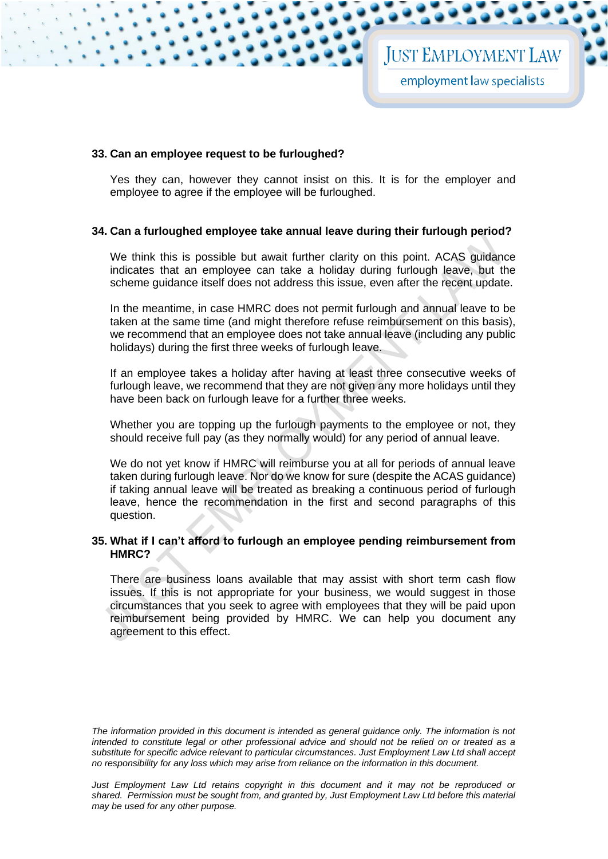#### **33. Can an employee request to be furloughed?**

Yes they can, however they cannot insist on this. It is for the employer and employee to agree if the employee will be furloughed.

#### **34. Can a furloughed employee take annual leave during their furlough period?**

We think this is possible but await further clarity on this point. ACAS guidance indicates that an employee can take a holiday during furlough leave, but the scheme guidance itself does not address this issue, even after the recent update.

In the meantime, in case HMRC does not permit furlough and annual leave to be taken at the same time (and might therefore refuse reimbursement on this basis), we recommend that an employee does not take annual leave (including any public holidays) during the first three weeks of furlough leave.

If an employee takes a holiday after having at least three consecutive weeks of furlough leave, we recommend that they are not given any more holidays until they have been back on furlough leave for a further three weeks.

Whether you are topping up the furlough payments to the employee or not, they should receive full pay (as they normally would) for any period of annual leave.

We do not yet know if HMRC will reimburse you at all for periods of annual leave taken during furlough leave. Nor do we know for sure (despite the ACAS guidance) if taking annual leave will be treated as breaking a continuous period of furlough leave, hence the recommendation in the first and second paragraphs of this question.

# **35. What if I can't afford to furlough an employee pending reimbursement from HMRC?**

There are business loans available that may assist with short term cash flow issues. If this is not appropriate for your business, we would suggest in those circumstances that you seek to agree with employees that they will be paid upon reimbursement being provided by HMRC. We can help you document any agreement to this effect.

*The information provided in this document is intended as general guidance only. The information is not intended to constitute legal or other professional advice and should not be relied on or treated as a substitute for specific advice relevant to particular circumstances. Just Employment Law Ltd shall accept no responsibility for any loss which may arise from reliance on the information in this document.*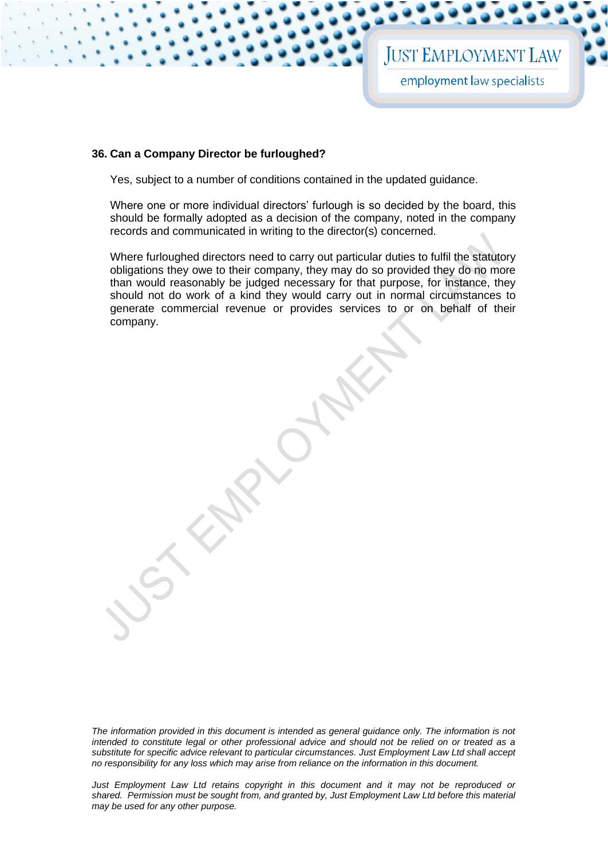**JUST EMPLOYMENT LAW** 

employment law specialists

#### **36. Can a Company Director be furloughed?**

Yes, subject to a number of conditions contained in the updated guidance.

Where one or more individual directors' furlough is so decided by the board, this should be formally adopted as a decision of the company, noted in the company records and communicated in writing to the director(s) concerned.

Where furloughed directors need to carry out particular duties to fulfil the statutory obligations they owe to their company, they may do so provided they do no more than would reasonably be judged necessary for that purpose, for instance, they should not do work of a kind they would carry out in normal circumstances to generate commercial revenue or provides services to or on behalf of their company.

*The information provided in this document is intended as general guidance only. The information is not intended to constitute legal or other professional advice and should not be relied on or treated as a substitute for specific advice relevant to particular circumstances. Just Employment Law Ltd shall accept no responsibility for any loss which may arise from reliance on the information in this document.*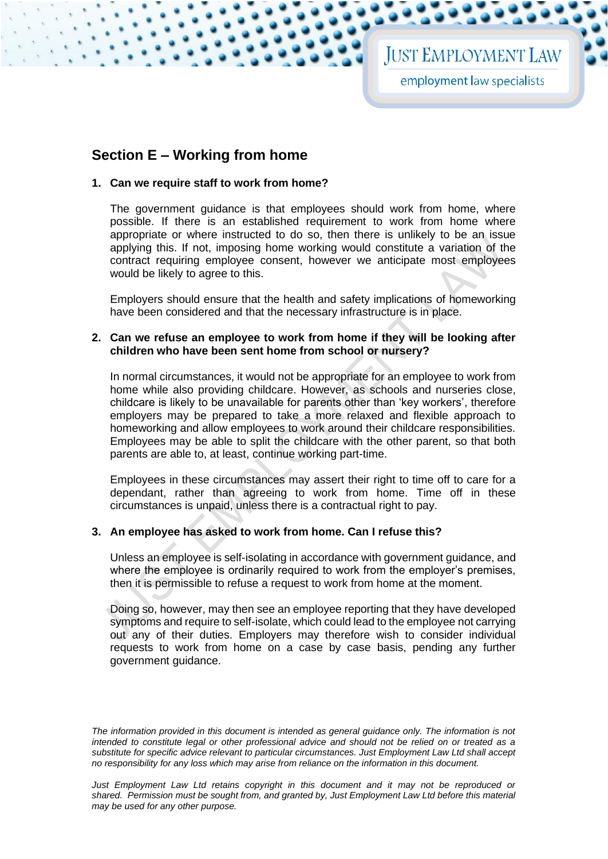# **JUST EMPLOYMENT LAW**

employment law specialists

# **Section E – Working from home**

# **1. Can we require staff to work from home?**

The government guidance is that employees should work from home, where possible. If there is an established requirement to work from home where appropriate or where instructed to do so, then there is unlikely to be an issue applying this. If not, imposing home working would constitute a variation of the contract requiring employee consent, however we anticipate most employees would be likely to agree to this.

Employers should ensure that the health and safety implications of homeworking have been considered and that the necessary infrastructure is in place.

## **2. Can we refuse an employee to work from home if they will be looking after children who have been sent home from school or nursery?**

In normal circumstances, it would not be appropriate for an employee to work from home while also providing childcare. However, as schools and nurseries close, childcare is likely to be unavailable for parents other than 'key workers', therefore employers may be prepared to take a more relaxed and flexible approach to homeworking and allow employees to work around their childcare responsibilities. Employees may be able to split the childcare with the other parent, so that both parents are able to, at least, continue working part-time.

Employees in these circumstances may assert their right to time off to care for a dependant, rather than agreeing to work from home. Time off in these circumstances is unpaid, unless there is a contractual right to pay.

# **3. An employee has asked to work from home. Can I refuse this?**

Unless an employee is self-isolating in accordance with government guidance, and where the employee is ordinarily required to work from the employer's premises, then it is permissible to refuse a request to work from home at the moment.

Doing so, however, may then see an employee reporting that they have developed symptoms and require to self-isolate, which could lead to the employee not carrying out any of their duties. Employers may therefore wish to consider individual requests to work from home on a case by case basis, pending any further government guidance.

*The information provided in this document is intended as general guidance only. The information is not intended to constitute legal or other professional advice and should not be relied on or treated as a substitute for specific advice relevant to particular circumstances. Just Employment Law Ltd shall accept no responsibility for any loss which may arise from reliance on the information in this document.* 

*Just Employment Law Ltd retains copyright in this document and it may not be reproduced or shared. Permission must be sought from, and granted by, Just Employment Law Ltd before this material may be used for any other purpose.*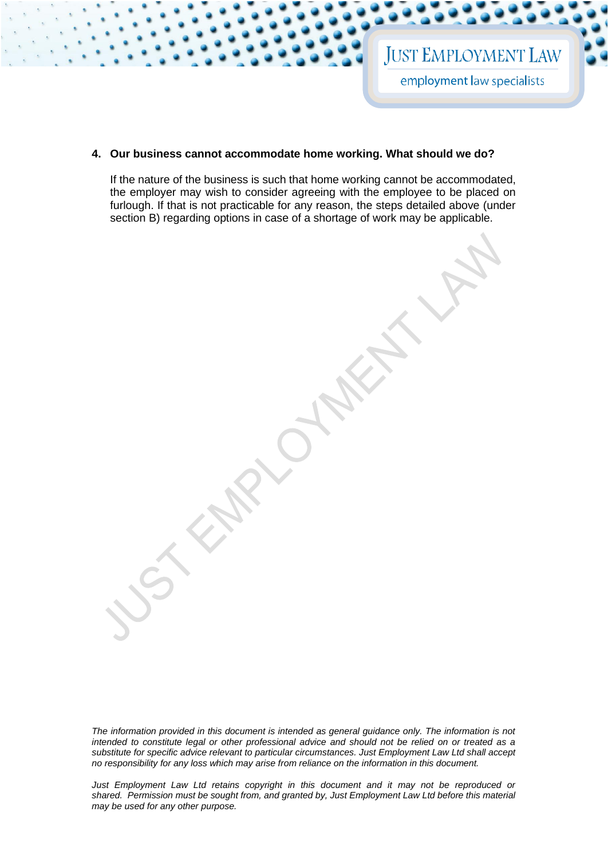# **4. Our business cannot accommodate home working. What should we do?**

If the nature of the business is such that home working cannot be accommodated, the employer may wish to consider agreeing with the employee to be placed on furlough. If that is not practicable for any reason, the steps detailed above (under section B) regarding options in case of a shortage of work may be applicable.

*The information provided in this document is intended as general guidance only. The information is not intended to constitute legal or other professional advice and should not be relied on or treated as a substitute for specific advice relevant to particular circumstances. Just Employment Law Ltd shall accept no responsibility for any loss which may arise from reliance on the information in this document.*